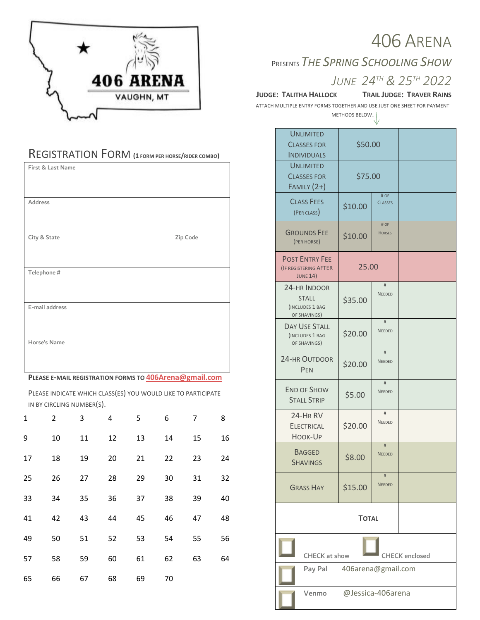

### REGISTRATION FORM **(1 FORM PER HORSE/RIDER COMBO)**

| First & Last Name |          |  |  |  |  |
|-------------------|----------|--|--|--|--|
|                   |          |  |  |  |  |
|                   |          |  |  |  |  |
|                   |          |  |  |  |  |
| Address           |          |  |  |  |  |
|                   |          |  |  |  |  |
|                   |          |  |  |  |  |
| City & State      | Zip Code |  |  |  |  |
|                   |          |  |  |  |  |
|                   |          |  |  |  |  |
| Telephone #       |          |  |  |  |  |
|                   |          |  |  |  |  |
|                   |          |  |  |  |  |
|                   |          |  |  |  |  |
| E-mail address    |          |  |  |  |  |
|                   |          |  |  |  |  |
|                   |          |  |  |  |  |
| Horse's Name      |          |  |  |  |  |
|                   |          |  |  |  |  |
|                   |          |  |  |  |  |
|                   |          |  |  |  |  |

#### **PLEASE E-MAIL REGISTRATION FORMS TO [406Arena@gmail.com](mailto:406Arena@gmail.com)**

PLEASE INDICATE WHICH CLASS(ES) YOU WOULD LIKE TO PARTICIPATE IN BY CIRCLING NUMBER(S).

| 1  | $\overline{2}$ | 3  | 4  | 5  | 6  | 7  | 8  |
|----|----------------|----|----|----|----|----|----|
| 9  | 10             | 11 | 12 | 13 | 14 | 15 | 16 |
| 17 | 18             | 19 | 20 | 21 | 22 | 23 | 24 |
| 25 | 26             | 27 | 28 | 29 | 30 | 31 | 32 |
| 33 | 34             | 35 | 36 | 37 | 38 | 39 | 40 |
| 41 | 42             | 43 | 44 | 45 | 46 | 47 | 48 |
| 49 | 50             | 51 | 52 | 53 | 54 | 55 | 56 |
| 57 | 58             | 59 | 60 | 61 | 62 | 63 | 64 |
| 65 | 66             | 67 | 68 | 69 | 70 |    |    |

# 406 ARENA

## <sup>P</sup>RESENTS*THE SPRING SCHOOLING SHOW*

*JUNE 24TH & 25TH 2022*

**JUDGE: TALITHA HALLOCK TRAIL JUDGE: TRAVER RAINS**

ATTACH MULTIPLE ENTRY FORMS TOGETHER AND USE JUST ONE SHEET FOR PAYMENT

METHODS BELOW.

| <b>UNLIMITED</b><br><b>CLASSES FOR</b><br><b>INDIVIDUALS</b>           | \$50.00 |                        |  |  |  |  |
|------------------------------------------------------------------------|---------|------------------------|--|--|--|--|
| <b>UNLIMITED</b><br><b>CLASSES FOR</b><br><b>FAMILY</b> (2+)           | \$75.00 |                        |  |  |  |  |
| <b>CLASS FEES</b><br>(PER CLASS)                                       | \$10.00 | # OF<br><b>CLASSES</b> |  |  |  |  |
| <b>GROUNDS FEE</b><br>(PER HORSE)                                      | \$10.00 | # OF<br><b>HORSES</b>  |  |  |  |  |
| <b>POST ENTRY FEE</b><br>(IF REGISTERING AFTER<br><b>JUNE 14)</b>      | 25.00   |                        |  |  |  |  |
| 24-HR INDOOR<br><b>STALL</b><br><b>(INCLUDES 1 BAG</b><br>OF SHAVINGS) | \$35.00 | #<br>NEEDED            |  |  |  |  |
| <b>DAY USE STALL</b><br><b>(INCLUDES 1 BAG</b><br>OF SHAVINGS)         | \$20.00 | #<br>NEEDED            |  |  |  |  |
| 24-HR OUTDOOR<br>PEN                                                   | \$20.00 | #<br>NEEDED            |  |  |  |  |
| <b>END OF SHOW</b><br><b>STALL STRIP</b>                               | \$5.00  | #<br>NEEDED            |  |  |  |  |
| 24-HRRV<br><b>ELECTRICAL</b><br>HOOK-UP                                | \$20.00 | #<br>NEEDED            |  |  |  |  |
| <b>BAGGED</b><br><b>SHAVINGS</b>                                       | \$8.00  | #<br><b>NEEDED</b>     |  |  |  |  |
| <b>GRASS HAY</b>                                                       | \$15.00 | <b>NEEDED</b>          |  |  |  |  |
| <b>TOTAL</b>                                                           |         |                        |  |  |  |  |
| <b>CHECK</b> enclosed<br>CHECK at show                                 |         |                        |  |  |  |  |
| 406arena@gmail.com<br>Pay Pal                                          |         |                        |  |  |  |  |
| @Jessica-406arena<br>Venmo                                             |         |                        |  |  |  |  |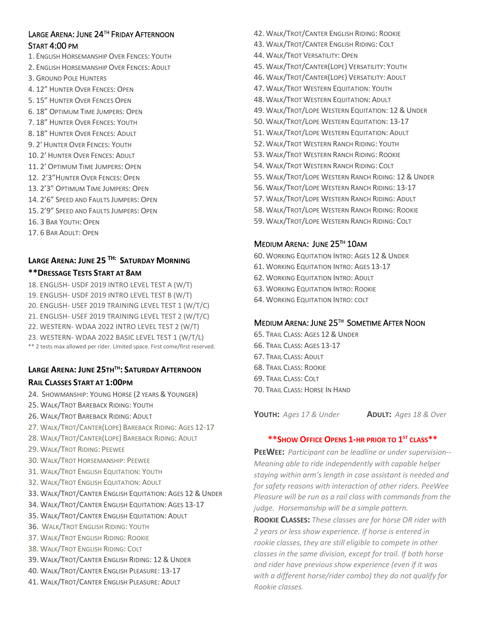#### Large Arena: June 24th Friday Afternoon START 4:00 PM

- 1. ENGLISH HORSEMANSHIP OVER FENCES: YOUTH
- 2. ENGLISH HORSEMANSHIP OVER FENCES: ADULT
- 3. GROUND POLE HUNTERS
- 4. 12" HUNTER OVER FENCES: OPEN
- 5. 15" HUNTER OVER FENCES OPEN
- 6. 18" OPTIMUM TIME JUMPERS: OPEN
- 7. 18" HUNTER OVER FENCES: YOUTH
- 8. 18" HUNTER OVER FENCES: ADULT
- 9. 2' HUNTER OVER FENCES: YOUTH
- 10. 2' HUNTER OVER FENCES: ADULT
- 11. 2' OPTIMUM TIME JUMPERS: OPEN
- 12. 2'3"HUNTER OVER FENCES: OPEN
- 13. 2'3" OPTIMUM TIME JUMPERS: OPEN
- 14. 2'6" SPEED AND FAULTS JUMPERS: OPEN
- 15. 2'9" SPEED AND FAULTS JUMPERS: OPEN
- 16. 3 BAR YOUTH: OPEN
- 17. 6 BAR ADULT: OPEN

#### **LARGE ARENA: JUNE 25 TH: SATURDAY MORNING \*\*DRESSAGE TESTS START AT 8AM**

18. ENGLISH- USDF 2019 INTRO LEVEL TEST A (W/T) 19. ENGLISH- USDF 2019 INTRO LEVEL TEST B (W/T) 20. ENGLISH- USEF 2019 TRAINING LEVEL TEST 1 (W/T/C) 21. ENGLISH- USEF 2019 TRAINING LEVEL TEST 2 (W/T/C) 22. WESTERN- WDAA 2022 INTRO LEVEL TEST 2 (W/T) 23. WESTERN- WDAA 2022 BASIC LEVEL TEST 1 (W/T/L) \*\* 2 tests max allowed per rider. Limited space. First come/first reserved.

#### **LARGE ARENA: JUNE 25THTH: SATURDAY AFTERNOON RAIL CLASSES START AT 1:00PM**

- 24. SHOWMANSHIP: YOUNG HORSE (2 YEARS & YOUNGER)
- 25. WALK/TROT BAREBACK RIDING: YOUTH
- 26. WALK/TROT BAREBACK RIDING: ADULT
- 27. WALK/TROT/CANTER(LOPE) BAREBACK RIDING: AGES 12-17
- 28. WALK/TROT/CANTER(LOPE) BAREBACK RIDING: ADULT
- 29. WALK/TROT RIDING: PEEWEE
- 30. WALK/TROT HORSEMANSHIP: PEEWEE
- 31. WALK/TROT ENGLISH EQUITATION: YOUTH
- 32. WALK/TROT ENGLISH EQUITATION: ADULT
- 33. WALK/TROT/CANTER ENGLISH EQUITATION: AGES 12 & UNDER
- 34. WALK/TROT/CANTER ENGLISH EQUITATION: AGES 13-17
- 35. WALK/TROT/CANTER ENGLISH EQUITATION: ADULT
- 36. WALK/TROT ENGLISH RIDING: YOUTH
- 37. WALK/TROT ENGLISH RIDING: ROOKIE
- 38. WALK/TROT ENGLISH RIDING: COLT
- 39. WALK/TROT/CANTER ENGLISH RIDING: 12 & UNDER
- 40. WALK/TROT/CANTER ENGLISH PLEASURE: 13-17
- 41. WALK/TROT/CANTER ENGLISH PLEASURE: ADULT
- 42. WALK/TROT/CANTER ENGLISH RIDING: ROOKIE 43. WALK/TROT/CANTER ENGLISH RIDING: COLT 44. WALK/TROT VERSATILITY: OPEN 45. WALK/TROT/CANTER(LOPE) VERSATILITY: YOUTH 46. WALK/TROT/CANTER(LOPE) VERSATILITY: ADULT 47. WALK/TROT WESTERN EQUITATION: YOUTH 48. WALK/TROT WESTERN EQUITATION: ADULT 49. WALK/TROT/LOPE WESTERN EQUITATION: 12 & UNDER 50. WALK/TROT/LOPE WESTERN EQUITATION: 13-17 51. WALK/TROT/LOPE WESTERN EQUITATION: ADULT 52. WALK/TROT WESTERN RANCH RIDING: YOUTH 53. WALK/TROT WESTERN RANCH RIDING: ROOKIE 54. WALK/TROT WESTERN RANCH RIDING: COLT 55. WALK/TROT/LOPE WESTERN RANCH RIDING: 12 & UNDER 56. WALK/TROT/LOPE WESTERN RANCH RIDING: 13-17 57. WALK/TROT/LOPE WESTERN RANCH RIDING: ADULT
- 58. WALK/TROT/LOPE WESTERN RANCH RIDING: ROOKIE 59. WALK/TROT/LOPE WESTERN RANCH RIDING: COLT
- 

#### MEDIUM ARENA: JUNE 25TH 10AM

- 60. WORKING EQUITATION INTRO: AGES 12 & UNDER
- 61. WORKING EQUITATION INTRO: AGES 13-17
- 62. WORKING EQUITATION INTRO: ADULT
- 63. WORKING EQUITATION INTRO: ROOKIE
- 64. WORKING EQUITATION INTRO: COLT

#### MEDIUM ARENA: JUNE 25TH SOMETIME AFTER NOON

65. TRAIL CLASS: AGES 12 & UNDER 66. TRAIL CLASS: AGES 13-17 67. TRAIL CLASS: ADULT 68. TRAIL CLASS: ROOKIE 69. TRAIL CLASS: COLT 70. TRAIL CLASS: HORSE IN HAND

**YOUTH:** *Ages 17 & Under* **ADULT:** *Ages 18 & Over*

#### **\*\*SHOW OFFICE OPENS 1-HR PRIOR TO 1 ST CLASS\*\***

**PEEWEE:** *Participant can be leadline or under supervision-- Meaning able to ride independently with capable helper staying within arm's length in case assistant is needed and for safety reasons with interaction of other riders. PeeWee Pleasure will be run as a rail class with commands from the judge. Horsemanship will be a simple pattern.*

**ROOKIE CLASSES:** *These classes are for horse OR rider with 2 years or less show experience. If horse is entered in rookie classes, they are still eligible to compete in other classes in the same division, except for trail. If both horse and rider have previous show experience (even if it was with a different horse/rider combo) they do not qualify for Rookie classes.*